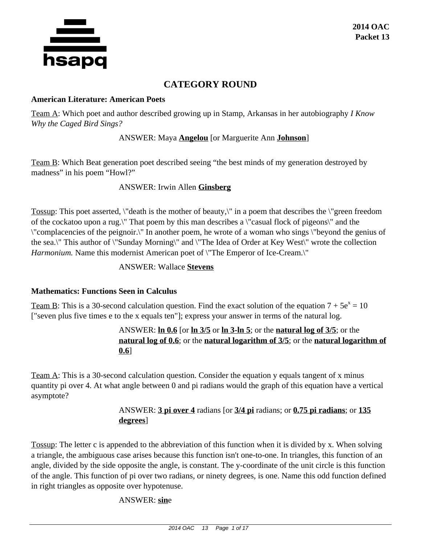

# **CATEGORY ROUND**

#### **American Literature: American Poets**

Team A: Which poet and author described growing up in Stamp, Arkansas in her autobiography *I Know Why the Caged Bird Sings?*

## ANSWER: Maya **Angelou** [or Marguerite Ann **Johnson**]

Team B: Which Beat generation poet described seeing "the best minds of my generation destroyed by madness" in his poem "Howl?"

## ANSWER: Irwin Allen **Ginsberg**

Tossup: This poet asserted, \"death is the mother of beauty,\" in a poem that describes the \"green freedom of the cockatoo upon a rug.\" That poem by this man describes a \"casual flock of pigeons\" and the \"complacencies of the peignoir.\" In another poem, he wrote of a woman who sings \"beyond the genius of the sea.\" This author of \"Sunday Morning\" and \"The Idea of Order at Key West\" wrote the collection *Harmonium.* Name this modernist American poet of \"The Emperor of Ice-Cream.\"

## ANSWER: Wallace **Stevens**

## **Mathematics: Functions Seen in Calculus**

Team B: This is a 30-second calculation question. Find the exact solution of the equation  $7 + 5e^x = 10$ ["seven plus five times e to the x equals ten"]; express your answer in terms of the natural log.

## ANSWER: **ln 0.6** [or **ln 3/5** or **ln 3-ln 5**; or the **natural log of 3/5**; or the **natural log of 0.6**; or the **natural logarithm of 3/5**; or the **natural logarithm of 0.6**]

Team A: This is a 30-second calculation question. Consider the equation y equals tangent of x minus quantity pi over 4. At what angle between 0 and pi radians would the graph of this equation have a vertical asymptote?

# ANSWER: **3 pi over 4** radians [or **3/4 pi** radians; or **0.75 pi radians**; or **135 degrees**]

Tossup: The letter c is appended to the abbreviation of this function when it is divided by x. When solving a triangle, the ambiguous case arises because this function isn't one-to-one. In triangles, this function of an angle, divided by the side opposite the angle, is constant. The y-coordinate of the unit circle is this function of the angle. This function of pi over two radians, or ninety degrees, is one. Name this odd function defined in right triangles as opposite over hypotenuse.

## ANSWER: **sin**e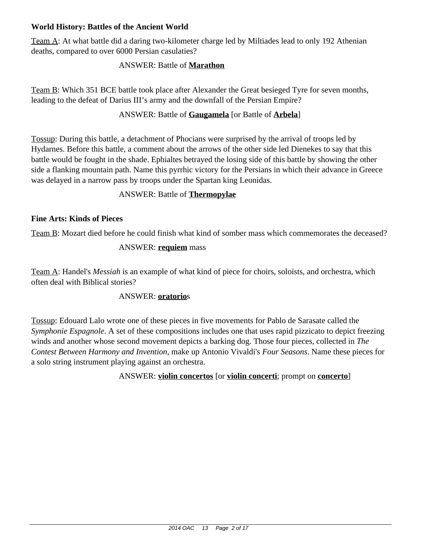## **World History: Battles of the Ancient World**

Team A: At what battle did a daring two-kilometer charge led by Miltiades lead to only 192 Athenian deaths, compared to over 6000 Persian casulaties?

## ANSWER: Battle of **Marathon**

Team B: Which 351 BCE battle took place after Alexander the Great besieged Tyre for seven months, leading to the defeat of Darius III's army and the downfall of the Persian Empire?

## ANSWER: Battle of **Gaugamela** [or Battle of **Arbela**]

Tossup: During this battle, a detachment of Phocians were surprised by the arrival of troops led by Hydarnes. Before this battle, a comment about the arrows of the other side led Dienekes to say that this battle would be fought in the shade. Ephialtes betrayed the losing side of this battle by showing the other side a flanking mountain path. Name this pyrrhic victory for the Persians in which their advance in Greece was delayed in a narrow pass by troops under the Spartan king Leonidas.

## ANSWER: Battle of **Thermopylae**

## **Fine Arts: Kinds of Pieces**

Team B: Mozart died before he could finish what kind of somber mass which commemorates the deceased?

## ANSWER: **requiem** mass

Team A: Handel's *Messiah* is an example of what kind of piece for choirs, soloists, and orchestra, which often deal with Biblical stories?

## ANSWER: **oratorio**s

Tossup: Edouard Lalo wrote one of these pieces in five movements for Pablo de Sarasate called the *Symphonie Espagnole*. A set of these compositions includes one that uses rapid pizzicato to depict freezing winds and another whose second movement depicts a barking dog. Those four pieces, collected in *The Contest Between Harmony and Invention*, make up Antonio Vivaldi's *Four Seasons*. Name these pieces for a solo string instrument playing against an orchestra.

ANSWER: **violin concertos** [or **violin concerti**; prompt on **concerto**]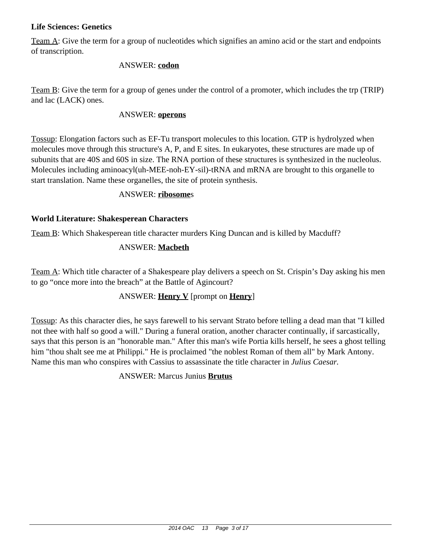## **Life Sciences: Genetics**

Team A: Give the term for a group of nucleotides which signifies an amino acid or the start and endpoints of transcription.

#### ANSWER: **codon**

Team B: Give the term for a group of genes under the control of a promoter, which includes the trp (TRIP) and lac (LACK) ones.

#### ANSWER: **operons**

Tossup: Elongation factors such as EF-Tu transport molecules to this location. GTP is hydrolyzed when molecules move through this structure's A, P, and E sites. In eukaryotes, these structures are made up of subunits that are 40S and 60S in size. The RNA portion of these structures is synthesized in the nucleolus. Molecules including aminoacyl(uh-MEE-noh-EY-sil)-tRNA and mRNA are brought to this organelle to start translation. Name these organelles, the site of protein synthesis.

#### ANSWER: **ribosome**s

## **World Literature: Shakesperean Characters**

Team B: Which Shakesperean title character murders King Duncan and is killed by Macduff?

## ANSWER: **Macbeth**

Team A: Which title character of a Shakespeare play delivers a speech on St. Crispin's Day asking his men to go "once more into the breach" at the Battle of Agincourt?

## ANSWER: **Henry V** [prompt on **Henry**]

Tossup: As this character dies, he says farewell to his servant Strato before telling a dead man that "I killed not thee with half so good a will." During a funeral oration, another character continually, if sarcastically, says that this person is an "honorable man." After this man's wife Portia kills herself, he sees a ghost telling him "thou shalt see me at Philippi." He is proclaimed "the noblest Roman of them all" by Mark Antony. Name this man who conspires with Cassius to assassinate the title character in *Julius Caesar.*

## ANSWER: Marcus Junius **Brutus**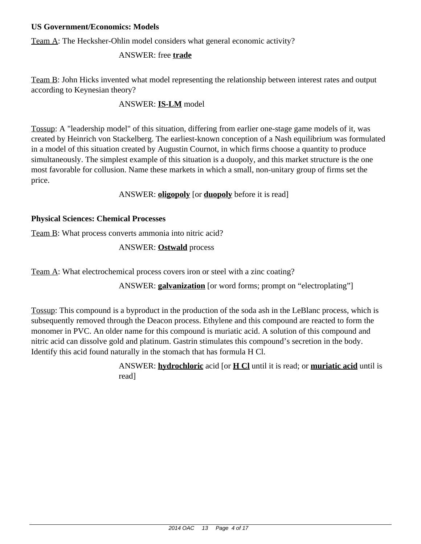## **US Government/Economics: Models**

Team A: The Hecksher-Ohlin model considers what general economic activity?

## ANSWER: free **trade**

Team B: John Hicks invented what model representing the relationship between interest rates and output according to Keynesian theory?

## ANSWER: **IS-LM** model

Tossup: A "leadership model" of this situation, differing from earlier one-stage game models of it, was created by Heinrich von Stackelberg. The earliest-known conception of a Nash equilibrium was formulated in a model of this situation created by Augustin Cournot, in which firms choose a quantity to produce simultaneously. The simplest example of this situation is a duopoly, and this market structure is the one most favorable for collusion. Name these markets in which a small, non-unitary group of firms set the price.

## ANSWER: **oligopoly** [or **duopoly** before it is read]

## **Physical Sciences: Chemical Processes**

Team B: What process converts ammonia into nitric acid?

## ANSWER: **Ostwald** process

Team A: What electrochemical process covers iron or steel with a zinc coating?

ANSWER: **galvanization** [or word forms; prompt on "electroplating"]

Tossup: This compound is a byproduct in the production of the soda ash in the LeBlanc process, which is subsequently removed through the Deacon process. Ethylene and this compound are reacted to form the monomer in PVC. An older name for this compound is muriatic acid. A solution of this compound and nitric acid can dissolve gold and platinum. Gastrin stimulates this compound's secretion in the body. Identify this acid found naturally in the stomach that has formula H Cl.

> ANSWER: **hydrochloric** acid [or **H Cl** until it is read; or **muriatic acid** until is read]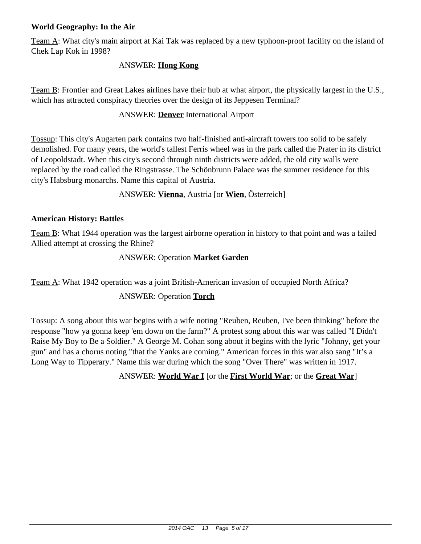## **World Geography: In the Air**

Team A: What city's main airport at Kai Tak was replaced by a new typhoon-proof facility on the island of Chek Lap Kok in 1998?

## ANSWER: **Hong Kong**

Team B: Frontier and Great Lakes airlines have their hub at what airport, the physically largest in the U.S., which has attracted conspiracy theories over the design of its Jeppesen Terminal?

#### ANSWER: **Denver** International Airport

Tossup: This city's Augarten park contains two half-finished anti-aircraft towers too solid to be safely demolished. For many years, the world's tallest Ferris wheel was in the park called the Prater in its district of Leopoldstadt. When this city's second through ninth districts were added, the old city walls were replaced by the road called the Ringstrasse. The Schönbrunn Palace was the summer residence for this city's Habsburg monarchs. Name this capital of Austria.

ANSWER: **Vienna**, Austria [or **Wien**, Österreich]

## **American History: Battles**

Team B: What 1944 operation was the largest airborne operation in history to that point and was a failed Allied attempt at crossing the Rhine?

## ANSWER: Operation **Market Garden**

Team A: What 1942 operation was a joint British-American invasion of occupied North Africa?

## ANSWER: Operation **Torch**

Tossup: A song about this war begins with a wife noting "Reuben, Reuben, I've been thinking" before the response "how ya gonna keep 'em down on the farm?" A protest song about this war was called "I Didn't Raise My Boy to Be a Soldier." A George M. Cohan song about it begins with the lyric "Johnny, get your gun" and has a chorus noting "that the Yanks are coming." American forces in this war also sang "It's a Long Way to Tipperary." Name this war during which the song "Over There" was written in 1917.

## ANSWER: **World War I** [or the **First World War**; or the **Great War**]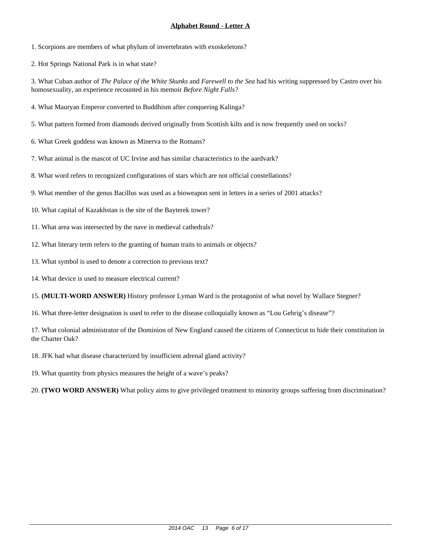1. Scorpions are members of what phylum of invertebrates with exoskeletons?

2. Hot Springs National Park is in what state?

3. What Cuban author of *The Palace of the White Skunks* and *Farewell to the Sea* had his writing suppressed by Castro over his homosexuality, an experience recounted in his memoir *Before Night Falls?*

- 4. What Mauryan Emperor converted to Buddhism after conquering Kalinga?
- 5. What pattern formed from diamonds derived originally from Scottish kilts and is now frequently used on socks?
- 6. What Greek goddess was known as Minerva to the Romans?
- 7. What animal is the mascot of UC Irvine and has similar characteristics to the aardvark?
- 8. What word refers to recognized configurations of stars which are not official constellations?
- 9. What member of the genus Bacillus was used as a bioweapon sent in letters in a series of 2001 attacks?
- 10. What capital of Kazakhstan is the site of the Bayterek tower?
- 11. What area was intersected by the nave in medieval cathedrals?
- 12. What literary term refers to the granting of human traits to animals or objects?
- 13. What symbol is used to denote a correction to previous text?
- 14. What device is used to measure electrical current?
- 15. **(MULTI-WORD ANSWER)** History professor Lyman Ward is the protagonist of what novel by Wallace Stegner?
- 16. What three-letter designation is used to refer to the disease colloquially known as "Lou Gehrig's disease"?

- 18. JFK had what disease characterized by insufficient adrenal gland activity?
- 19. What quantity from physics measures the height of a wave's peaks?
- 20. **(TWO WORD ANSWER)** What policy aims to give privileged treatment to minority groups suffering from discrimination?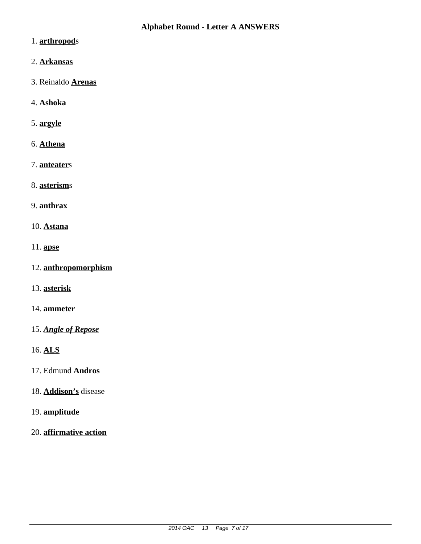- 1. **arthropod**s
- 2. **Arkansas**
- 3. Reinaldo **Arenas**
- 4. **Ashoka**
- 5. **argyle**
- 6. **Athena**
- 7. **anteater**s
- 8. **asterism**s
- 9. **anthrax**
- 10. **Astana**
- 11. **apse**
- 12. **anthropomorphism**
- 13. **asterisk**
- 14. **ammeter**
- 15. *Angle of Repose*
- 16. **ALS**
- 17. Edmund **Andros**
- 18. **Addison's** disease
- 19. **amplitude**
- 20. **affirmative action**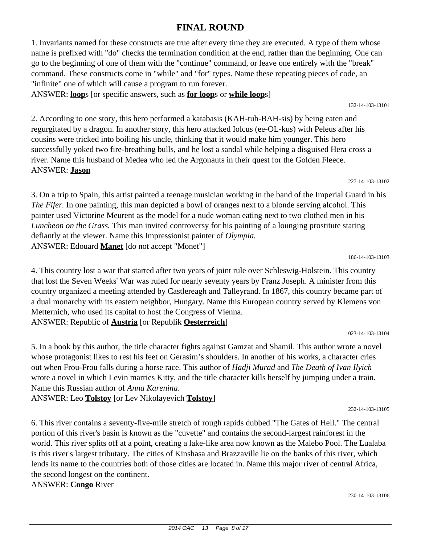# **FINAL ROUND**

1. Invariants named for these constructs are true after every time they are executed. A type of them whose name is prefixed with "do" checks the termination condition at the end, rather than the beginning. One can go to the beginning of one of them with the "continue" command, or leave one entirely with the "break" command. These constructs come in "while" and "for" types. Name these repeating pieces of code, an "infinite" one of which will cause a program to run forever.

ANSWER: **loop**s [or specific answers, such as **for loop**s or **while loop**s]

2. According to one story, this hero performed a katabasis (KAH-tuh-BAH-sis) by being eaten and regurgitated by a dragon. In another story, this hero attacked Iolcus (ee-OL-kus) with Peleus after his cousins were tricked into boiling his uncle, thinking that it would make him younger. This hero successfully yoked two fire-breathing bulls, and he lost a sandal while helping a disguised Hera cross a river. Name this husband of Medea who led the Argonauts in their quest for the Golden Fleece. ANSWER: **Jason**

227-14-103-13102

132-14-103-13101

3. On a trip to Spain, this artist painted a teenage musician working in the band of the Imperial Guard in his *The Fifer.* In one painting, this man depicted a bowl of oranges next to a blonde serving alcohol. This painter used Victorine Meurent as the model for a nude woman eating next to two clothed men in his *Luncheon on the Grass.* This man invited controversy for his painting of a lounging prostitute staring defiantly at the viewer. Name this Impressionist painter of *Olympia.* ANSWER: Edouard **Manet** [do not accept "Monet"]

186-14-103-13103

4. This country lost a war that started after two years of joint rule over Schleswig-Holstein. This country that lost the Seven Weeks' War was ruled for nearly seventy years by Franz Joseph. A minister from this country organized a meeting attended by Castlereagh and Talleyrand. In 1867, this country became part of a dual monarchy with its eastern neighbor, Hungary. Name this European country served by Klemens von Metternich, who used its capital to host the Congress of Vienna. ANSWER: Republic of **Austria** [or Republik **Oesterreich**]

023-14-103-13104

5. In a book by this author, the title character fights against Gamzat and Shamil. This author wrote a novel whose protagonist likes to rest his feet on Gerasim's shoulders. In another of his works, a character cries out when Frou-Frou falls during a horse race. This author of *Hadji Murad* and *The Death of Ivan Ilyich* wrote a novel in which Levin marries Kitty, and the title character kills herself by jumping under a train. Name this Russian author of *Anna Karenina*.

ANSWER: Leo **Tolstoy** [or Lev Nikolayevich **Tolstoy**]

232-14-103-13105

6. This river contains a seventy-five-mile stretch of rough rapids dubbed "The Gates of Hell." The central portion of this river's basin is known as the "cuvette" and contains the second-largest rainforest in the world. This river splits off at a point, creating a lake-like area now known as the Malebo Pool. The Lualaba is this river's largest tributary. The cities of Kinshasa and Brazzaville lie on the banks of this river, which lends its name to the countries both of those cities are located in. Name this major river of central Africa, the second longest on the continent.

ANSWER: **Congo** River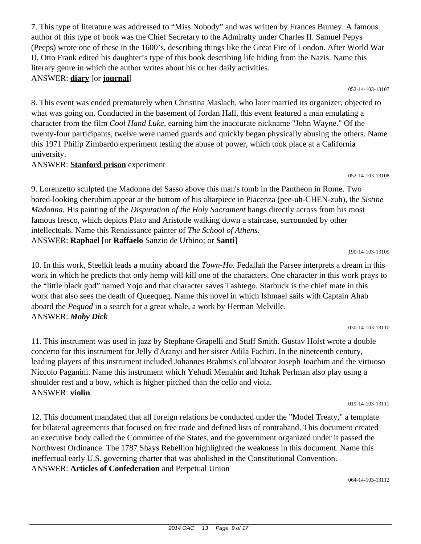author of this type of book was the Chief Secretary to the Admiralty under Charles II. Samuel Pepys (Peeps) wrote one of these in the 1600's, describing things like the Great Fire of London. After World War II, Otto Frank edited his daughter's type of this book describing life hiding from the Nazis. Name this literary genre in which the author writes about his or her daily activities. ANSWER: **diary** [or **journal**] 052-14-103-13107

7. This type of literature was addressed to "Miss Nobody" and was written by Frances Burney. A famous

8. This event was ended prematurely when Christina Maslach, who later married its organizer, objected to what was going on. Conducted in the basement of Jordan Hall, this event featured a man emulating a character from the film *Cool Hand Luke,* earning him the inaccurate nickname "John Wayne." Of the twenty-four participants, twelve were named guards and quickly began physically abusing the others. Name this 1971 Philip Zimbardo experiment testing the abuse of power, which took place at a California university.

# ANSWER: **Stanford prison** experiment

052-14-103-13108

9. Lorenzetto sculpted the Madonna del Sasso above this man's tomb in the Pantheon in Rome. Two bored-looking cherubim appear at the bottom of his altarpiece in Piacenza (pee-uh-CHEN-zuh), the *Sistine Madonna.* His painting of the *Disputation of the Holy Sacrament* hangs directly across from his most famous fresco, which depicts Plato and Aristotle walking down a staircase, surrounded by other intellectuals. Name this Renaissance painter of *The School of Athens.* ANSWER: **Raphael** [or **Raffaelo** Sanzio de Urbino; or **Santi**]

190-14-103-13109

10. In this work, Steelkit leads a mutiny aboard the *Town-Ho*. Fedallah the Parsee interprets a dream in this work in which he predicts that only hemp will kill one of the characters. One character in this work prays to the "little black god" named Yojo and that character saves Tashtego. Starbuck is the chief mate in this work that also sees the death of Queequeg. Name this novel in which Ishmael sails with Captain Ahab aboard the *Pequod* in a search for a great whale, a work by Herman Melville. ANSWER: *Moby Dick*

030-14-103-13110

11. This instrument was used in jazz by Stephane Grapelli and Stuff Smith. Gustav Holst wrote a double concerto for this instrument for Jelly d'Aranyi and her sister Adila Fachiri. In the nineteenth century, leading players of this instrument included Johannes Brahms's collaboator Joseph Joachim and the virtuoso Niccolo Paganini. Name this instrument which Yehudi Menuhin and Itzhak Perlman also play using a shoulder rest and a bow, which is higher pitched than the cello and viola. ANSWER: **violin**

019-14-103-13111

12. This document mandated that all foreign relations be conducted under the "Model Treaty," a template for bilateral agreements that focused on free trade and defined lists of contraband. This document created an executive body called the Committee of the States, and the government organized under it passed the Northwest Ordinance. The 1787 Shays Rebellion highlighted the weakness in this document. Name this ineffectual early U.S. governing charter that was abolished in the Constitutional Convention. ANSWER: **Articles of Confederation** and Perpetual Union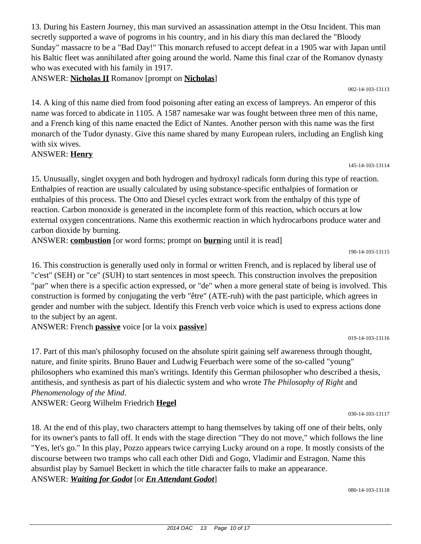13. During his Eastern Journey, this man survived an assassination attempt in the Otsu Incident. This man secretly supported a wave of pogroms in his country, and in his diary this man declared the "Bloody Sunday" massacre to be a "Bad Day!" This monarch refused to accept defeat in a 1905 war with Japan until his Baltic fleet was annihilated after going around the world. Name this final czar of the Romanov dynasty who was executed with his family in 1917.

ANSWER: **Nicholas II** Romanov [prompt on **Nicholas**]

002-14-103-13113

14. A king of this name died from food poisoning after eating an excess of lampreys. An emperor of this name was forced to abdicate in 1105. A 1587 namesake war was fought between three men of this name, and a French king of this name enacted the Edict of Nantes. Another person with this name was the first monarch of the Tudor dynasty. Give this name shared by many European rulers, including an English king with six wives.

## ANSWER: **Henry**

145-14-103-13114

15. Unusually, singlet oxygen and both hydrogen and hydroxyl radicals form during this type of reaction. Enthalpies of reaction are usually calculated by using substance-specific enthalpies of formation or enthalpies of this process. The Otto and Diesel cycles extract work from the enthalpy of this type of reaction. Carbon monoxide is generated in the incomplete form of this reaction, which occurs at low external oxygen concentrations. Name this exothermic reaction in which hydrocarbons produce water and carbon dioxide by burning.

ANSWER: **combustion** [or word forms; prompt on **burn**ing until it is read]

190-14-103-13115

16. This construction is generally used only in formal or written French, and is replaced by liberal use of "c'est" (SEH) or "ce" (SUH) to start sentences in most speech. This construction involves the preposition "par" when there is a specific action expressed, or "de" when a more general state of being is involved. This construction is formed by conjugating the verb "être" (ATE-ruh) with the past participle, which agrees in gender and number with the subject. Identify this French verb voice which is used to express actions done to the subject by an agent.

ANSWER: French **passive** voice [or la voix **passive**]

17. Part of this man's philosophy focused on the absolute spirit gaining self awareness through thought, nature, and finite spirits. Bruno Bauer and Ludwig Feuerbach were some of the so-called "young" philosophers who examined this man's writings. Identify this German philosopher who described a thesis, antithesis, and synthesis as part of his dialectic system and who wrote *The Philosophy of Right* and *Phenomenology of the Mind*.

ANSWER: Georg Wilhelm Friedrich **Hegel**

18. At the end of this play, two characters attempt to hang themselves by taking off one of their belts, only for its owner's pants to fall off. It ends with the stage direction "They do not move," which follows the line "Yes, let's go." In this play, Pozzo appears twice carrying Lucky around on a rope. It mostly consists of the discourse between two tramps who call each other Didi and Gogo, Vladimir and Estragon. Name this absurdist play by Samuel Beckett in which the title character fails to make an appearance. ANSWER: *Waiting for Godot* [or *En Attendant Godot*]

080-14-103-13118

030-14-103-13117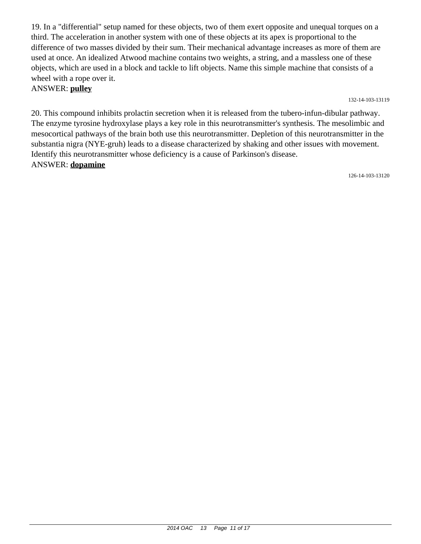19. In a "differential" setup named for these objects, two of them exert opposite and unequal torques on a third. The acceleration in another system with one of these objects at its apex is proportional to the difference of two masses divided by their sum. Their mechanical advantage increases as more of them are used at once. An idealized Atwood machine contains two weights, a string, and a massless one of these objects, which are used in a block and tackle to lift objects. Name this simple machine that consists of a wheel with a rope over it.

#### ANSWER: **pulley**

#### 132-14-103-13119

20. This compound inhibits prolactin secretion when it is released from the tubero-infun-dibular pathway. The enzyme tyrosine hydroxylase plays a key role in this neurotransmitter's synthesis. The mesolimbic and mesocortical pathways of the brain both use this neurotransmitter. Depletion of this neurotransmitter in the substantia nigra (NYE-gruh) leads to a disease characterized by shaking and other issues with movement. Identify this neurotransmitter whose deficiency is a cause of Parkinson's disease. ANSWER: **dopamine**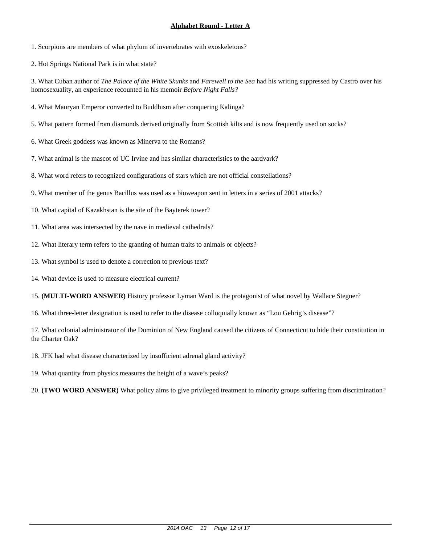1. Scorpions are members of what phylum of invertebrates with exoskeletons?

2. Hot Springs National Park is in what state?

3. What Cuban author of *The Palace of the White Skunks* and *Farewell to the Sea* had his writing suppressed by Castro over his homosexuality, an experience recounted in his memoir *Before Night Falls?*

- 4. What Mauryan Emperor converted to Buddhism after conquering Kalinga?
- 5. What pattern formed from diamonds derived originally from Scottish kilts and is now frequently used on socks?
- 6. What Greek goddess was known as Minerva to the Romans?
- 7. What animal is the mascot of UC Irvine and has similar characteristics to the aardvark?
- 8. What word refers to recognized configurations of stars which are not official constellations?
- 9. What member of the genus Bacillus was used as a bioweapon sent in letters in a series of 2001 attacks?
- 10. What capital of Kazakhstan is the site of the Bayterek tower?
- 11. What area was intersected by the nave in medieval cathedrals?
- 12. What literary term refers to the granting of human traits to animals or objects?
- 13. What symbol is used to denote a correction to previous text?
- 14. What device is used to measure electrical current?
- 15. **(MULTI-WORD ANSWER)** History professor Lyman Ward is the protagonist of what novel by Wallace Stegner?
- 16. What three-letter designation is used to refer to the disease colloquially known as "Lou Gehrig's disease"?

- 18. JFK had what disease characterized by insufficient adrenal gland activity?
- 19. What quantity from physics measures the height of a wave's peaks?
- 20. **(TWO WORD ANSWER)** What policy aims to give privileged treatment to minority groups suffering from discrimination?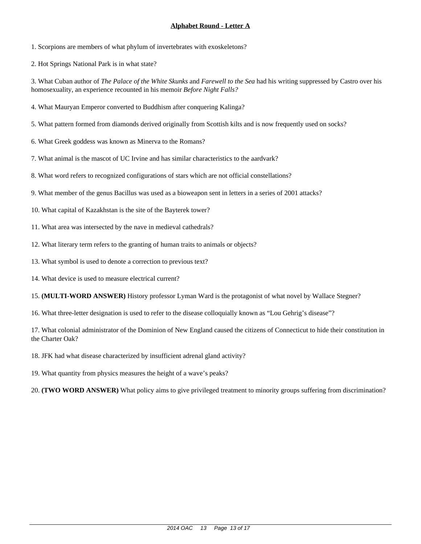1. Scorpions are members of what phylum of invertebrates with exoskeletons?

2. Hot Springs National Park is in what state?

3. What Cuban author of *The Palace of the White Skunks* and *Farewell to the Sea* had his writing suppressed by Castro over his homosexuality, an experience recounted in his memoir *Before Night Falls?*

- 4. What Mauryan Emperor converted to Buddhism after conquering Kalinga?
- 5. What pattern formed from diamonds derived originally from Scottish kilts and is now frequently used on socks?
- 6. What Greek goddess was known as Minerva to the Romans?
- 7. What animal is the mascot of UC Irvine and has similar characteristics to the aardvark?
- 8. What word refers to recognized configurations of stars which are not official constellations?
- 9. What member of the genus Bacillus was used as a bioweapon sent in letters in a series of 2001 attacks?
- 10. What capital of Kazakhstan is the site of the Bayterek tower?
- 11. What area was intersected by the nave in medieval cathedrals?
- 12. What literary term refers to the granting of human traits to animals or objects?
- 13. What symbol is used to denote a correction to previous text?
- 14. What device is used to measure electrical current?
- 15. **(MULTI-WORD ANSWER)** History professor Lyman Ward is the protagonist of what novel by Wallace Stegner?
- 16. What three-letter designation is used to refer to the disease colloquially known as "Lou Gehrig's disease"?

- 18. JFK had what disease characterized by insufficient adrenal gland activity?
- 19. What quantity from physics measures the height of a wave's peaks?
- 20. **(TWO WORD ANSWER)** What policy aims to give privileged treatment to minority groups suffering from discrimination?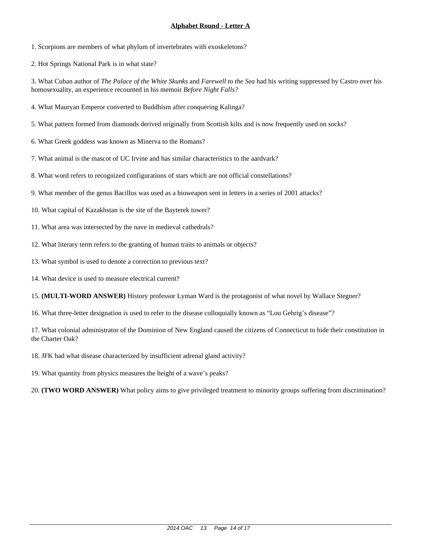1. Scorpions are members of what phylum of invertebrates with exoskeletons?

2. Hot Springs National Park is in what state?

3. What Cuban author of *The Palace of the White Skunks* and *Farewell to the Sea* had his writing suppressed by Castro over his homosexuality, an experience recounted in his memoir *Before Night Falls?*

- 4. What Mauryan Emperor converted to Buddhism after conquering Kalinga?
- 5. What pattern formed from diamonds derived originally from Scottish kilts and is now frequently used on socks?
- 6. What Greek goddess was known as Minerva to the Romans?
- 7. What animal is the mascot of UC Irvine and has similar characteristics to the aardvark?
- 8. What word refers to recognized configurations of stars which are not official constellations?
- 9. What member of the genus Bacillus was used as a bioweapon sent in letters in a series of 2001 attacks?
- 10. What capital of Kazakhstan is the site of the Bayterek tower?
- 11. What area was intersected by the nave in medieval cathedrals?
- 12. What literary term refers to the granting of human traits to animals or objects?
- 13. What symbol is used to denote a correction to previous text?
- 14. What device is used to measure electrical current?
- 15. **(MULTI-WORD ANSWER)** History professor Lyman Ward is the protagonist of what novel by Wallace Stegner?
- 16. What three-letter designation is used to refer to the disease colloquially known as "Lou Gehrig's disease"?

- 18. JFK had what disease characterized by insufficient adrenal gland activity?
- 19. What quantity from physics measures the height of a wave's peaks?
- 20. **(TWO WORD ANSWER)** What policy aims to give privileged treatment to minority groups suffering from discrimination?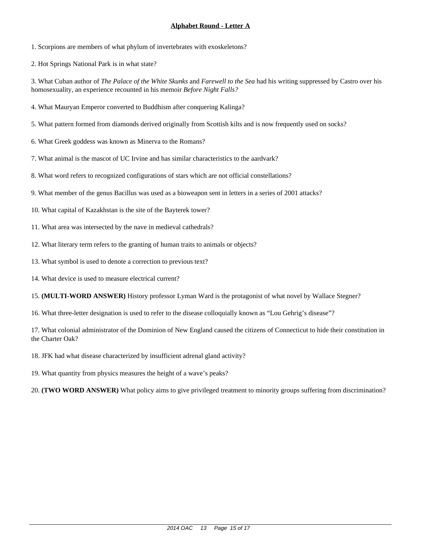1. Scorpions are members of what phylum of invertebrates with exoskeletons?

2. Hot Springs National Park is in what state?

3. What Cuban author of *The Palace of the White Skunks* and *Farewell to the Sea* had his writing suppressed by Castro over his homosexuality, an experience recounted in his memoir *Before Night Falls?*

- 4. What Mauryan Emperor converted to Buddhism after conquering Kalinga?
- 5. What pattern formed from diamonds derived originally from Scottish kilts and is now frequently used on socks?
- 6. What Greek goddess was known as Minerva to the Romans?
- 7. What animal is the mascot of UC Irvine and has similar characteristics to the aardvark?
- 8. What word refers to recognized configurations of stars which are not official constellations?
- 9. What member of the genus Bacillus was used as a bioweapon sent in letters in a series of 2001 attacks?
- 10. What capital of Kazakhstan is the site of the Bayterek tower?
- 11. What area was intersected by the nave in medieval cathedrals?
- 12. What literary term refers to the granting of human traits to animals or objects?
- 13. What symbol is used to denote a correction to previous text?
- 14. What device is used to measure electrical current?
- 15. **(MULTI-WORD ANSWER)** History professor Lyman Ward is the protagonist of what novel by Wallace Stegner?
- 16. What three-letter designation is used to refer to the disease colloquially known as "Lou Gehrig's disease"?

- 18. JFK had what disease characterized by insufficient adrenal gland activity?
- 19. What quantity from physics measures the height of a wave's peaks?
- 20. **(TWO WORD ANSWER)** What policy aims to give privileged treatment to minority groups suffering from discrimination?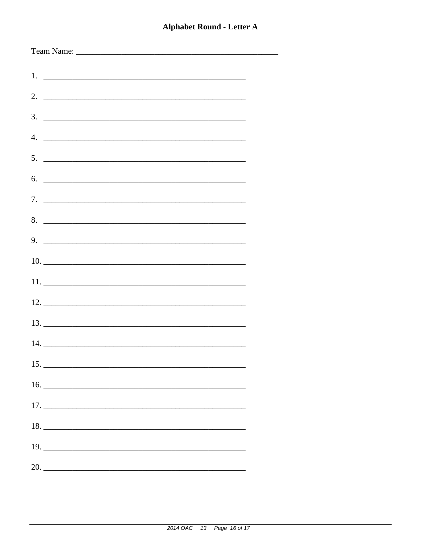| $5.$ $\overline{\phantom{a}}$ |  |
|-------------------------------|--|
| $6.$ $\overline{\phantom{a}}$ |  |
|                               |  |
|                               |  |
|                               |  |
|                               |  |
|                               |  |
|                               |  |
|                               |  |
|                               |  |
| 15.                           |  |
|                               |  |
|                               |  |
|                               |  |
|                               |  |
| 20.                           |  |